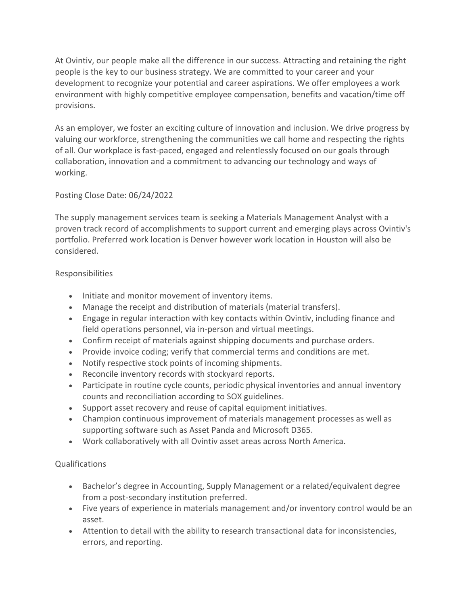At Ovintiv, our people make all the difference in our success. Attracting and retaining the right people is the key to our business strategy. We are committed to your career and your development to recognize your potential and career aspirations. We offer employees a work environment with highly competitive employee compensation, benefits and vacation/time off provisions.

As an employer, we foster an exciting culture of innovation and inclusion. We drive progress by valuing our workforce, strengthening the communities we call home and respecting the rights of all. Our workplace is fast-paced, engaged and relentlessly focused on our goals through collaboration, innovation and a commitment to advancing our technology and ways of working.

## Posting Close Date: 06/24/2022

The supply management services team is seeking a Materials Management Analyst with a proven track record of accomplishments to support current and emerging plays across Ovintiv's portfolio. Preferred work location is Denver however work location in Houston will also be considered.

## Responsibilities

- Initiate and monitor movement of inventory items.
- Manage the receipt and distribution of materials (material transfers).
- Engage in regular interaction with key contacts within Ovintiv, including finance and field operations personnel, via in-person and virtual meetings.
- Confirm receipt of materials against shipping documents and purchase orders.
- Provide invoice coding; verify that commercial terms and conditions are met.
- Notify respective stock points of incoming shipments.
- Reconcile inventory records with stockyard reports.
- Participate in routine cycle counts, periodic physical inventories and annual inventory counts and reconciliation according to SOX guidelines.
- Support asset recovery and reuse of capital equipment initiatives.
- Champion continuous improvement of materials management processes as well as supporting software such as Asset Panda and Microsoft D365.
- Work collaboratively with all Ovintiv asset areas across North America.

## Qualifications

- Bachelor's degree in Accounting, Supply Management or a related/equivalent degree from a post-secondary institution preferred.
- Five years of experience in materials management and/or inventory control would be an asset.
- Attention to detail with the ability to research transactional data for inconsistencies, errors, and reporting.